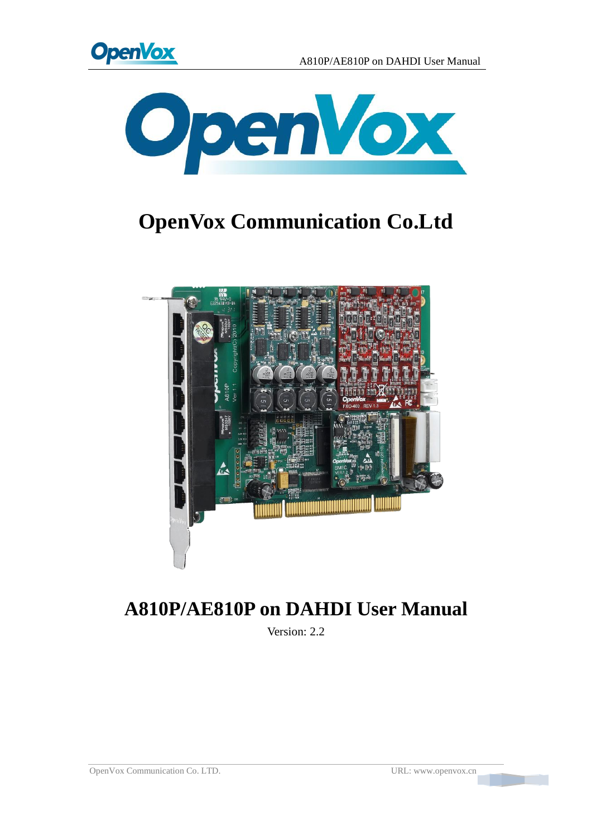



# **OpenVox Communication Co.Ltd**



## **A810P/AE810P on DAHDI User Manual**

Version: 2.2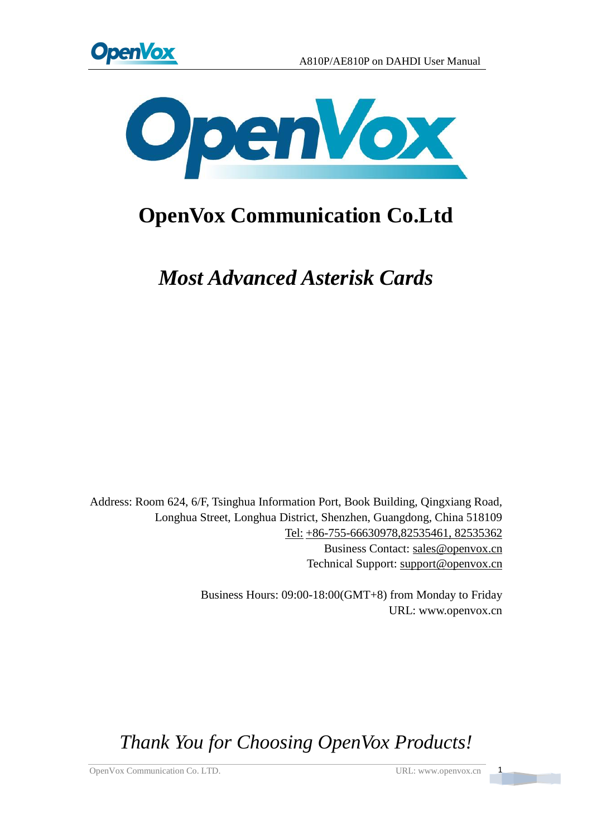



## **OpenVox Communication Co.Ltd**

*Most Advanced Asterisk Cards*

Address: Room 624, 6/F, Tsinghua Information Port, Book Building, Qingxiang Road, Longhua Street, Longhua District, Shenzhen, Guangdong, China 518109 Tel: +86-755-66630978,82535461, 82535362 Business Contact: sales@openvox.cn Technical Support: [support@openvox.cn](mailto:support@openvox.com.cn)

> Business Hours: 09:00-18:00(GMT+8) from Monday to Friday URL: www.openvox.cn

*Thank You for Choosing OpenVox Products!*

OpenVox Communication Co. LTD. URL: www.openvox.cn 1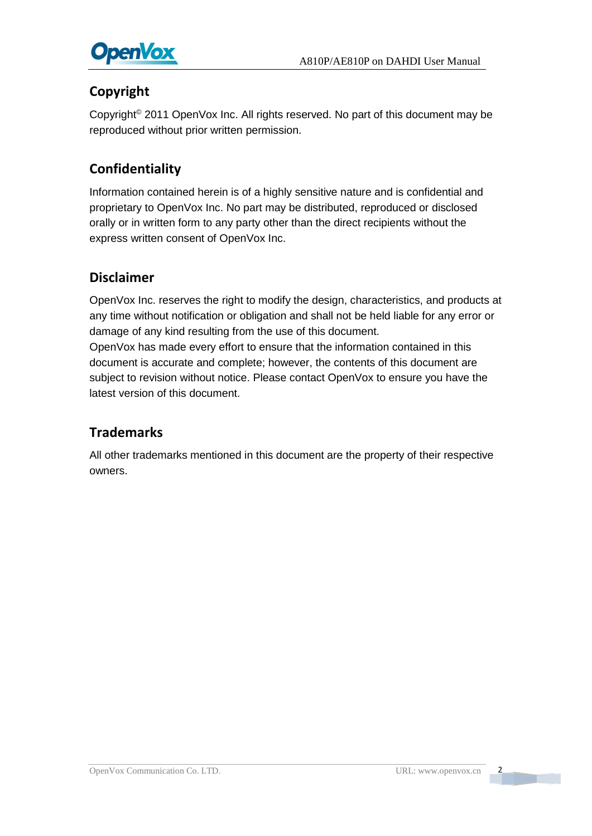

### **Copyright**

Copyright© 2011 OpenVox Inc. All rights reserved. No part of this document may be reproduced without prior written permission.

### **Confidentiality**

Information contained herein is of a highly sensitive nature and is confidential and proprietary to OpenVox Inc. No part may be distributed, reproduced or disclosed orally or in written form to any party other than the direct recipients without the express written consent of OpenVox Inc.

### **Disclaimer**

OpenVox Inc. reserves the right to modify the design, characteristics, and products at any time without notification or obligation and shall not be held liable for any error or damage of any kind resulting from the use of this document. OpenVox has made every effort to ensure that the information contained in this document is accurate and complete; however, the contents of this document are

subject to revision without notice. Please contact OpenVox to ensure you have the latest version of this document.

### **Trademarks**

All other trademarks mentioned in this document are the property of their respective owners.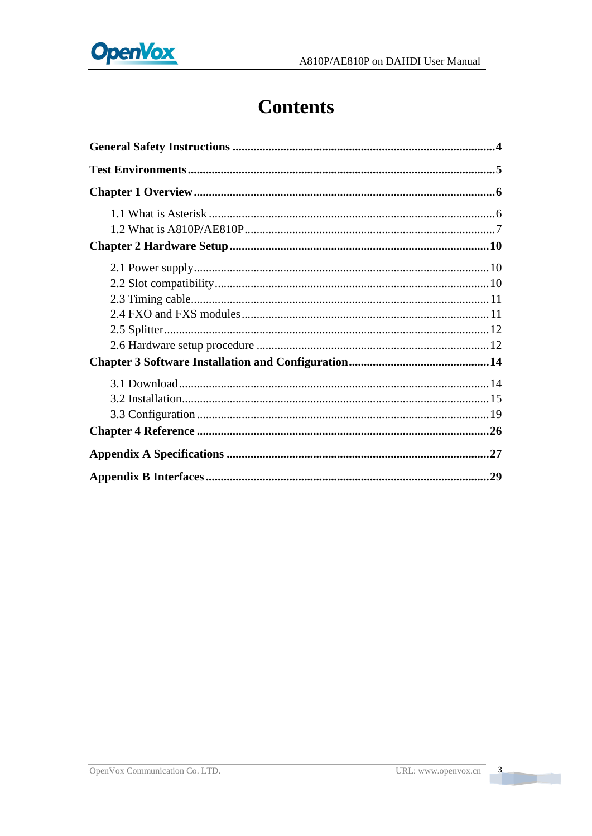

## **Contents**

 $\overline{\mathbf{3}}$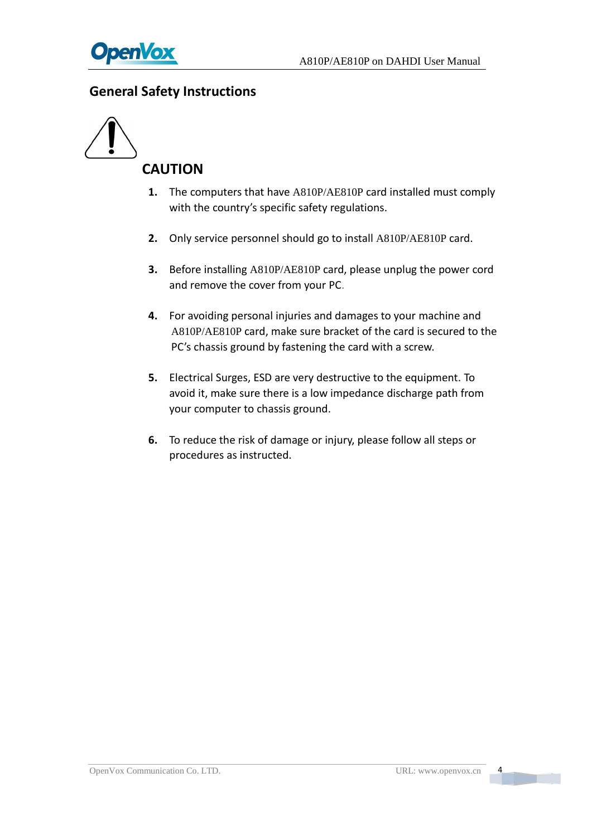

### <span id="page-4-0"></span>**General Safety Instructions**



- **1.** The computers that have A810P/AE810P card installed must comply with the country's specific safety regulations.
- **2.** Only service personnel should go to install A810P/AE810P card.
- **3.** Before installing A810P/AE810P card, please unplug the power cord and remove the cover from your PC.
- **4.** For avoiding personal injuries and damages to your machine and A810P/AE810P card, make sure bracket of the card is secured to the PC's chassis ground by fastening the card with a screw.
- **5.** Electrical Surges, ESD are very destructive to the equipment. To avoid it, make sure there is a low impedance discharge path from your computer to chassis ground.
- **6.** To reduce the risk of damage or injury, please follow all steps or procedures as instructed.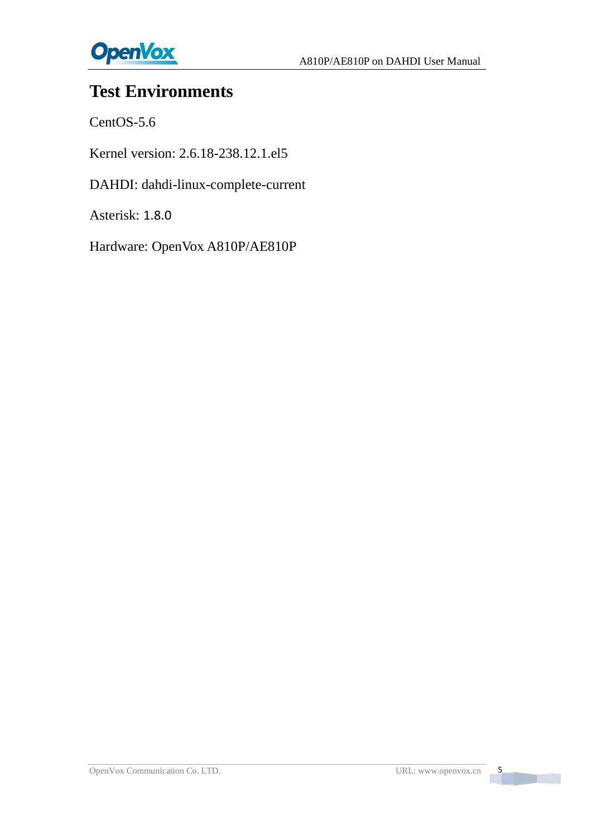

## <span id="page-5-0"></span>**Test Environments**

CentOS-5.6

Kernel version: 2.6.18-238.12.1.el5

DAHDI: dahdi-linux-complete-current

Asterisk: 1.8.0

Hardware: OpenVox A810P/AE810P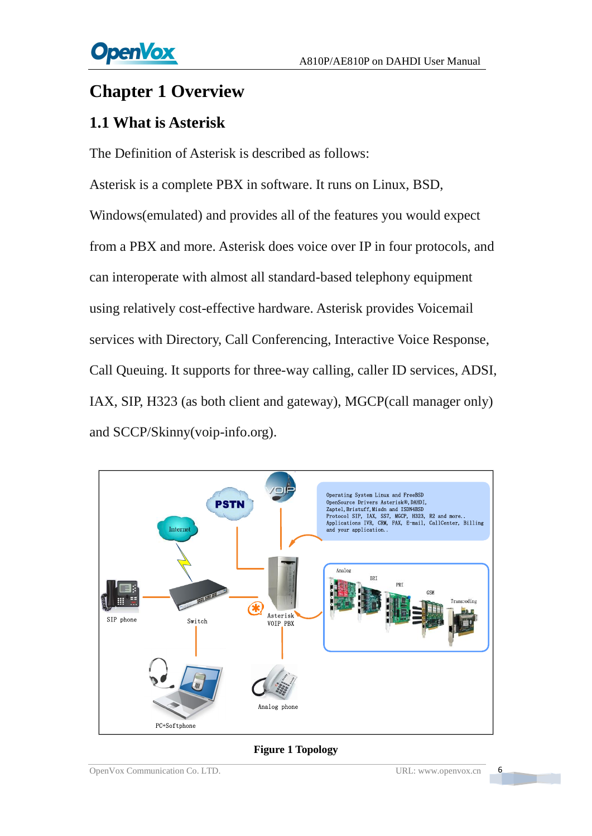## <span id="page-6-0"></span>**Chapter 1 Overview**

## <span id="page-6-1"></span>**1.1 What is Asterisk**

The Definition of Asterisk is described as follows:

Asterisk is a complete PBX in software. It runs on Linux, BSD, Windows(emulated) and provides all of the features you would expect from a PBX and more. Asterisk does voice over IP in four protocols, and can interoperate with almost all standard-based telephony equipment using relatively cost-effective hardware. Asterisk provides Voicemail services with Directory, Call Conferencing, Interactive Voice Response, Call Queuing. It supports for three-way calling, caller ID services, ADSI, IAX, SIP, H323 (as both client and gateway), MGCP(call manager only) and SCCP/Skinny(voip-info.org).



#### **Figure 1 Topology**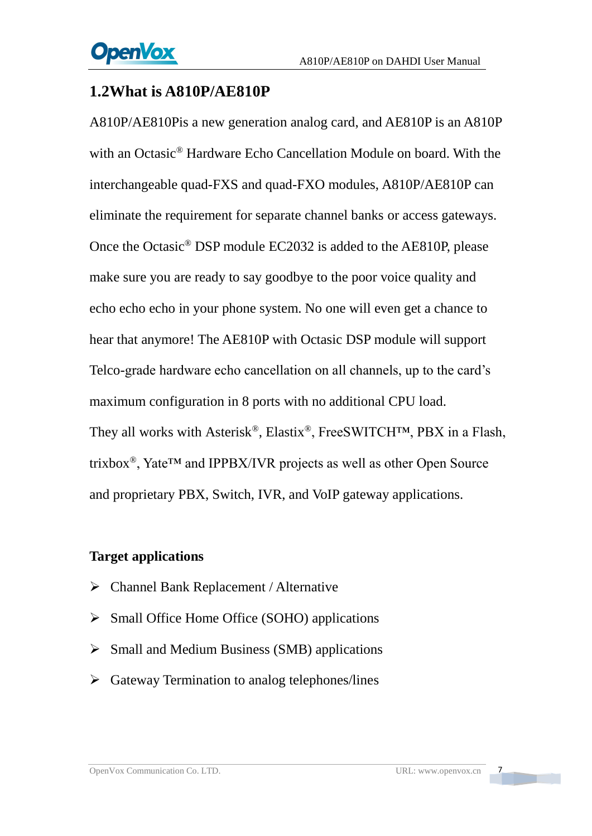### <span id="page-7-0"></span>**1.2What is A810P/AE810P**

A810P/AE810Pis a new generation analog card, and AE810P is an A810P with an Octasic® Hardware Echo Cancellation Module on board. With the interchangeable quad-FXS and quad-FXO modules, A810P/AE810P can eliminate the requirement for separate channel banks or access gateways. Once the Octasic® DSP module EC2032 is added to the AE810P, please make sure you are ready to say goodbye to the poor voice quality and echo echo echo in your phone system. No one will even get a chance to hear that anymore! The AE810P with Octasic DSP module will support Telco-grade hardware echo cancellation on all channels, up to the card's maximum configuration in 8 ports with no additional CPU load. They all works with Asterisk®, Elastix®, FreeSWITCH™, PBX in a Flash, trixbox®, Yate™ and IPPBX/IVR projects as well as other Open Source and proprietary PBX, Switch, IVR, and VoIP gateway applications.

### **Target applications**

- ➢ Channel Bank Replacement / Alternative
- ➢ Small Office Home Office (SOHO) applications
- ➢ Small and Medium Business (SMB) applications
- ➢ Gateway Termination to analog telephones/lines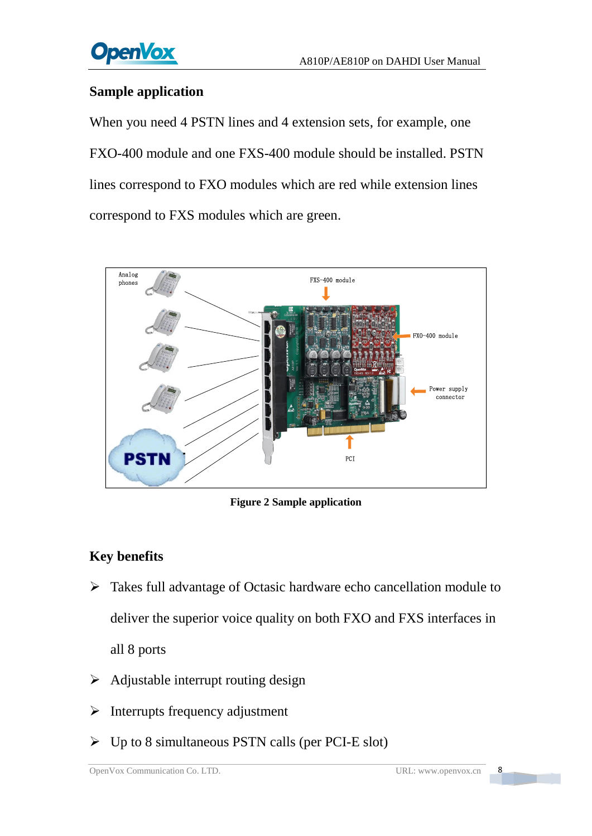

### **Sample application**

When you need 4 PSTN lines and 4 extension sets, for example, one FXO-400 module and one FXS-400 module should be installed. PSTN lines correspond to FXO modules which are red while extension lines correspond to FXS modules which are green.



**Figure 2 Sample application**

### **Key benefits**

- ➢ Takes full advantage of Octasic hardware echo cancellation module to deliver the superior voice quality on both FXO and FXS interfaces in all 8 ports
- $\triangleright$  Adjustable interrupt routing design
- $\triangleright$  Interrupts frequency adjustment
- $\triangleright$  Up to 8 simultaneous PSTN calls (per PCI-E slot)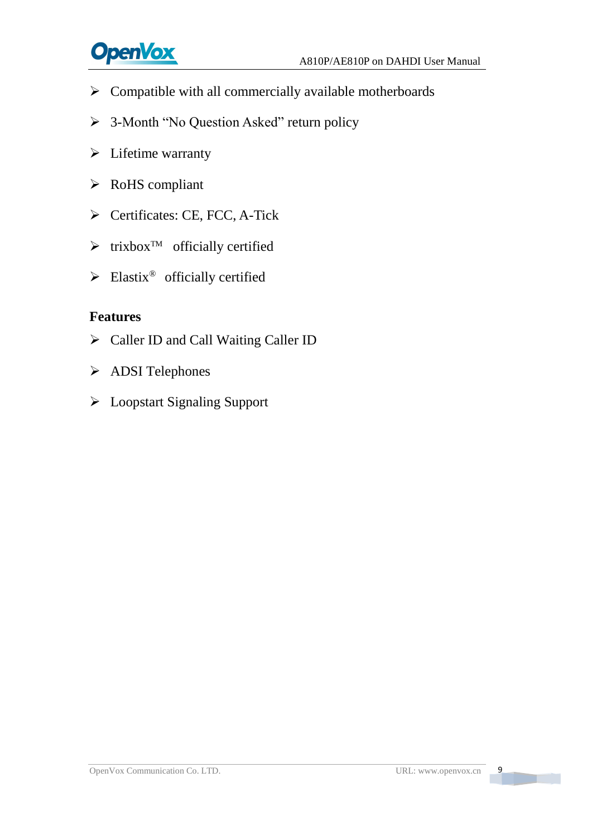

- ➢ Compatible with all commercially available motherboards
- ➢ 3-Month "No Question Asked" return policy
- ➢ Lifetime warranty
- ➢ RoHS compliant
- ➢ Certificates: CE, FCC, A-Tick
- $\triangleright$  trixbox<sup>TM</sup> officially certified
- $\blacktriangleright$  Elastix<sup>®</sup> officially certified

### **Features**

- ➢ Caller ID and Call Waiting Caller ID
- ➢ ADSI Telephones
- ➢ Loopstart Signaling Support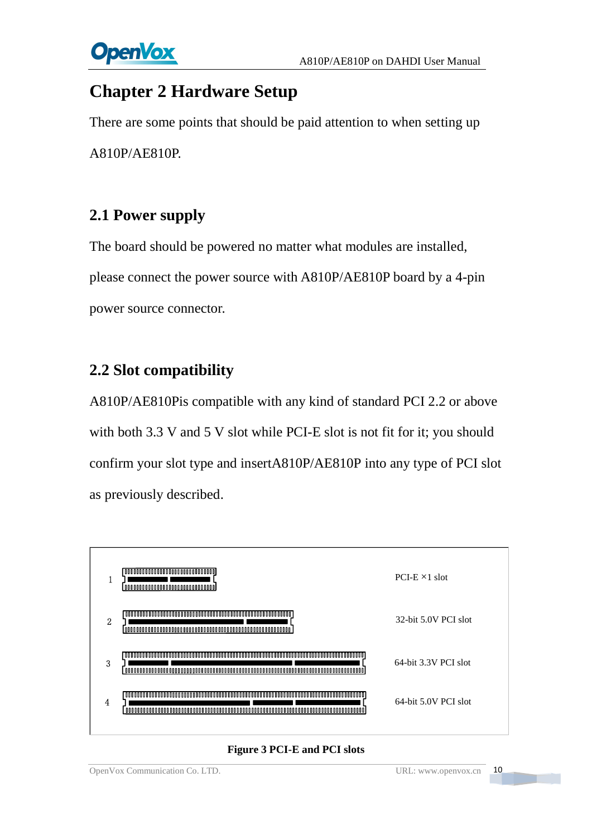

## <span id="page-10-0"></span>**Chapter 2 Hardware Setup**

There are some points that should be paid attention to when setting up A810P/AE810P.

## <span id="page-10-1"></span>**2.1 Power supply**

The board should be powered no matter what modules are installed, please connect the power source with A810P/AE810P board by a 4-pin power source connector.

## <span id="page-10-2"></span>**2.2 Slot compatibility**

A810P/AE810Pis compatible with any kind of standard PCI 2.2 or above with both 3.3 V and 5 V slot while PCI-E slot is not fit for it; you should confirm your slot type and insertA810P/AE810P into any type of PCI slot as previously described.



#### **Figure 3 PCI-E and PCI slots**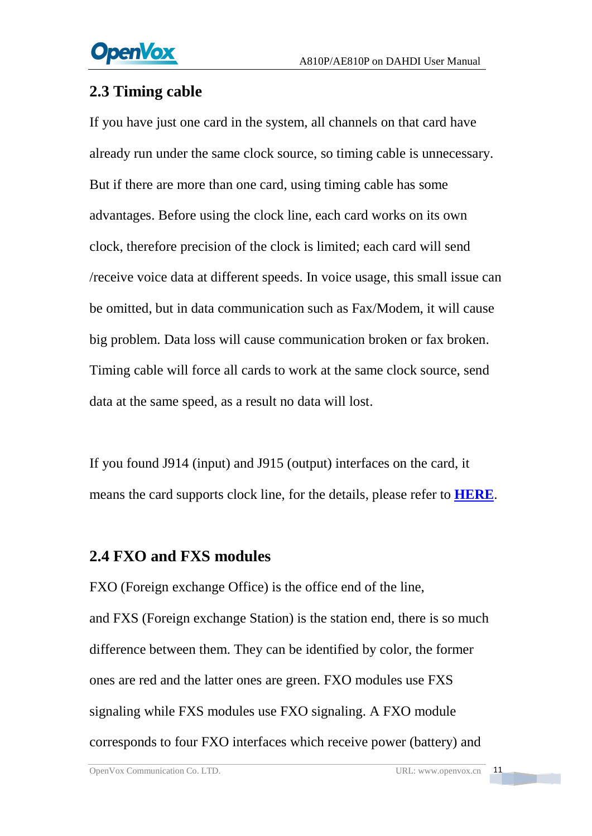## <span id="page-11-0"></span>**2.3 Timing cable**

If you have just one card in the system, all channels on that card have already run under the same clock source, so timing cable is unnecessary. But if there are more than one card, using timing cable has some advantages. Before using the clock line, each card works on its own clock, therefore precision of the clock is limited; each card will send /receive voice data at different speeds. In voice usage, this small issue can be omitted, but in data communication such as Fax/Modem, it will cause big problem. Data loss will cause communication broken or fax broken. Timing cable will force all cards to work at the same clock source, send data at the same speed, as a result no data will lost.

If you found J914 (input) and J915 (output) interfaces on the card, it means the card supports clock line, for the details, please refer to **[HERE](http://bbs.openvox.cn/viewthread.php?tid=874&extra=page%3D1)**.

### <span id="page-11-1"></span>**2.4 FXO and FXS modules**

FXO (Foreign exchange Office) is the office end of the line, and [FXS](http://www.voip-info.org/wiki/view/FXS) (Foreign exchange Station) is the station end, there is so much difference between them. They can be identified by color, the former ones are red and the latter ones are green. FXO modules use FXS signaling while FXS modules use FXO signaling. A FXO module corresponds to four FXO interfaces which receive power (battery) and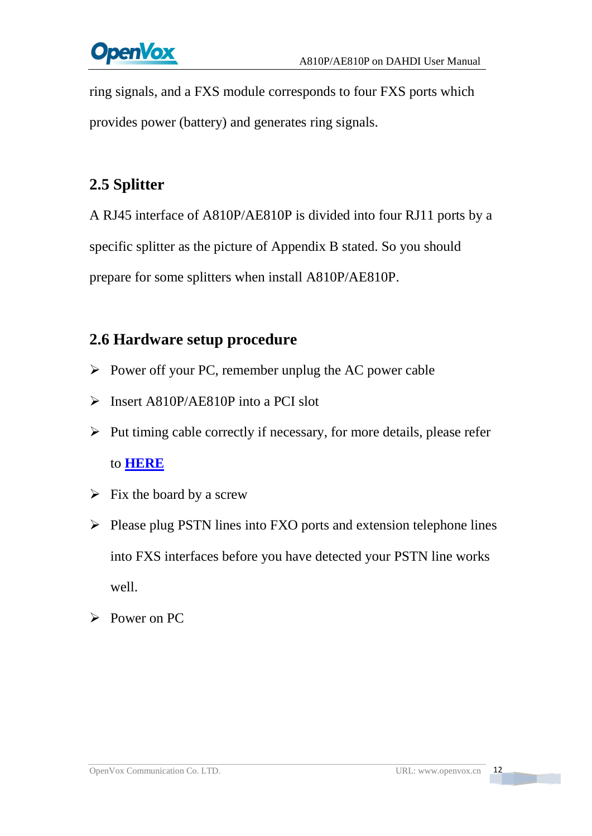# **OpenVox**

ring signals, and a FXS module corresponds to four FXS ports which provides power (battery) and generates ring signals.

## <span id="page-12-0"></span>**2.5 Splitter**

A RJ45 interface of A810P/AE810P is divided into four RJ11 ports by a specific splitter as the picture of Appendix B stated. So you should prepare for some splitters when install A810P/AE810P.

## <span id="page-12-1"></span>**2.6 Hardware setup procedure**

- ➢ Power off your PC, remember unplug the AC power cable
- ➢ Insert A810P/AE810P into a PCI slot
- $\triangleright$  Put timing cable correctly if necessary, for more details, please refer to **[HERE](http://bbs.openvox.cn/viewthread.php?tid=874&extra=page%3D1)**
- $\triangleright$  Fix the board by a screw
- ➢ Please plug PSTN lines into FXO ports and extension telephone lines into FXS interfaces before you have detected your PSTN line works well.
- ➢ Power on PC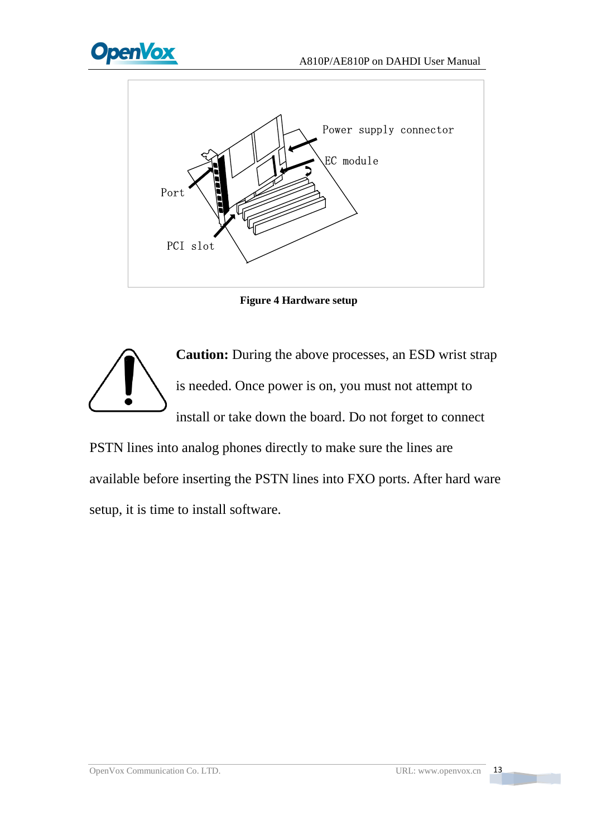

**Figure 4 Hardware setup**



PSTN lines into analog phones directly to make sure the lines are available before inserting the PSTN lines into FXO ports. After hard ware setup, it is time to install software.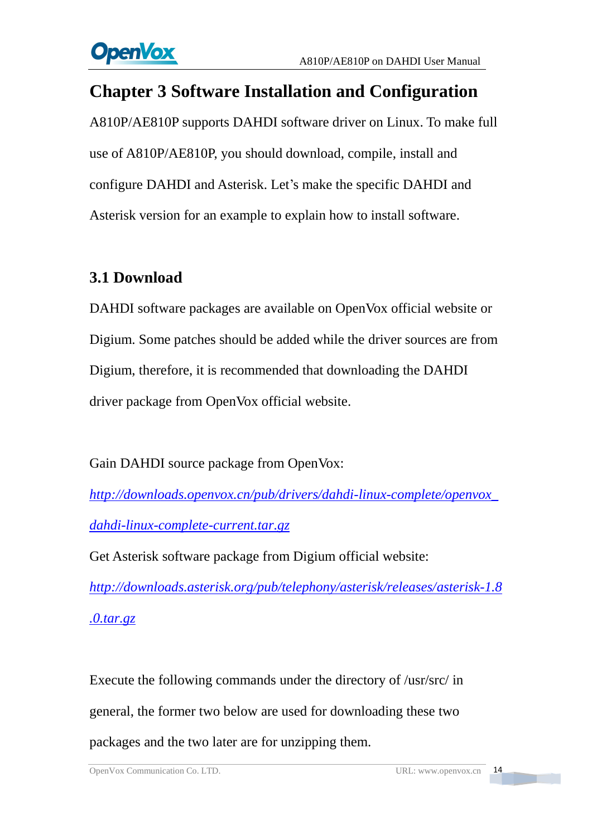## <span id="page-14-0"></span>**Chapter 3 Software Installation and Configuration**

A810P/AE810P supports DAHDI software driver on Linux. To make full use of A810P/AE810P, you should download, compile, install and configure DAHDI and Asterisk. Let's make the specific DAHDI and Asterisk version for an example to explain how to install software.

## <span id="page-14-1"></span>**3.1 Download**

DAHDI software packages are available on OpenVox official website or Digium. Some patches should be added while the driver sources are from Digium, therefore, it is recommended that downloading the DAHDI driver package from OpenVox official website.

Gain DAHDI source package from OpenVox:

*[http://downloads.openvox.cn/pub/drivers/dahdi-linux-complete/openvox\\_](http://downloads.openvox.cn/pub/drivers/dahdi-linux-complete/openvox_dahdi-linux-complete-current.tar.gz) [dahdi-linux-complete-current.tar.gz](http://downloads.openvox.cn/pub/drivers/dahdi-linux-complete/openvox_dahdi-linux-complete-current.tar.gz)*

Get Asterisk software package from Digium official website:

*[http://downloads.asterisk.org/pub/telephony/asterisk/releases/a](http://downloads.asterisk.org/pub/telephony/asterisk/releases/)sterisk-1.8 .0.tar.gz*

Execute the following commands under the directory of /usr/src/ in general, the former two below are used for downloading these two packages and the two later are for unzipping them.

OpenVox Communication Co. LTD. URL: www.openvox.cn 14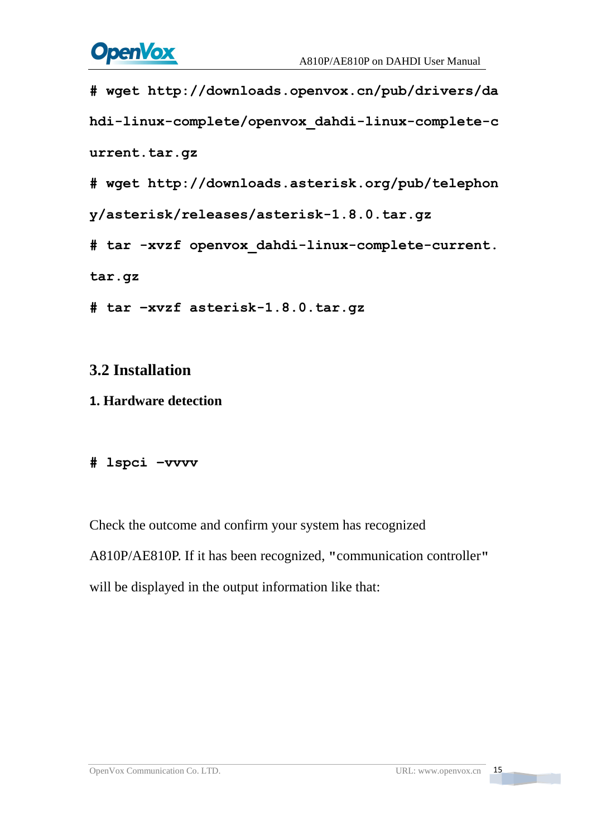

```
#_wget_http://downloads.openvox.cn/pub/drivers/da
hdi-linux-complete/openvox_dahdi-linux-complete-c
urrent.tar.gz
#_wget_http://downloads.asterisk.org/pub/telephon
y/asterisk/releases/asterisk-1.8.0.tar.gz
#_tar_-xvzf_openvox_dahdi-linux-complete-current.
tar.gz
# tar –xvzf asterisk-1.8.0.tar.gz
```
### <span id="page-15-0"></span>**3.2 Installation**

### **1. Hardware detection**

### **# lspci –vvvv**

Check the outcome and confirm your system has recognized A810P/AE810P. If it has been recognized, **"**communication controller**"** will be displayed in the output information like that: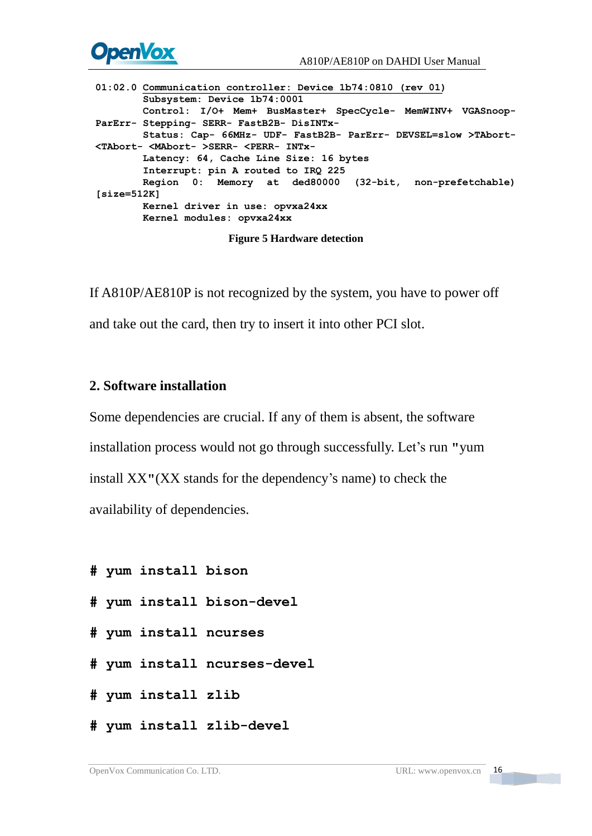

01:02. O Communication controller levers in Pario 16:02. Communication controllers (responding the state of the state of the state of the state of the state of the state of the state of the state of the state of the state

If A810P/AE810P is not recognized by the system, you have to power off and take out the card, then try to insert it into other PCI slot.

### **2. Software installation**

Some dependencies are crucial. If any of them is absent, the software installation process would not go through successfully. Let's run **"**yum install XX**"**(XX stands for the dependency's name) to check the availability of dependencies.

```
# yum install bison
```
- **# yum install bison-devel**
- **# yum install ncurses**
- **# yum install ncurses-devel**
- **# yum install zlib**
- **# yum install zlib-devel**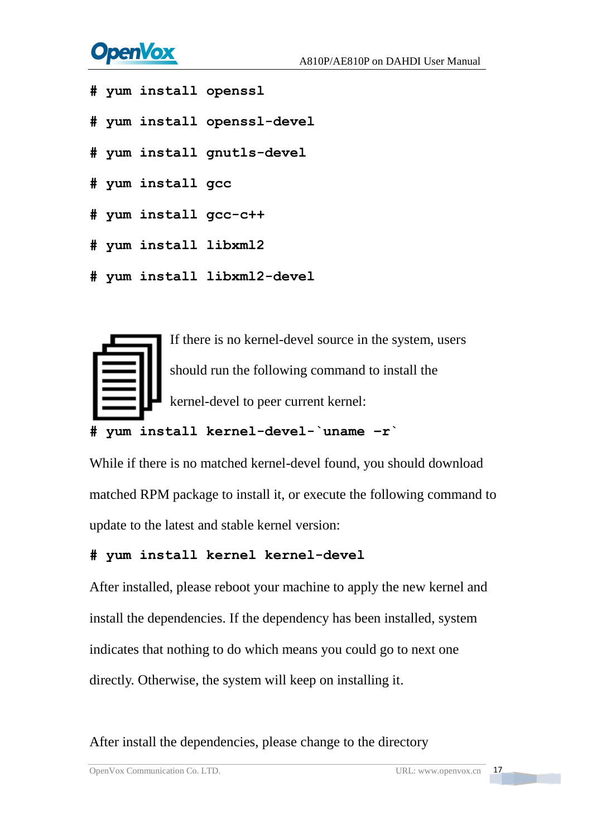# **OpenVox**

- **# yum install openssl**
- **# yum install openssl-devel**
- **# yum install gnutls-devel**
- **# yum install gcc**
- **# yum install gcc-c++**
- **# yum install libxml2**
- **# yum install libxml2-devel**



**# yum install kernel-devel-`uname –r`**

While if there is no matched kernel-devel found, you should download matched RPM package to install it, or execute the following command to update to the latest and stable kernel version:

### **# yum install kernel kernel-devel**

After installed, please reboot your machine to apply the new kernel and install the dependencies. If the dependency has been installed, system indicates that nothing to do which means you could go to next one directly. Otherwise, the system will keep on installing it.

After install the dependencies, please change to the directory

OpenVox Communication Co. LTD. URL: www.openvox.cn 17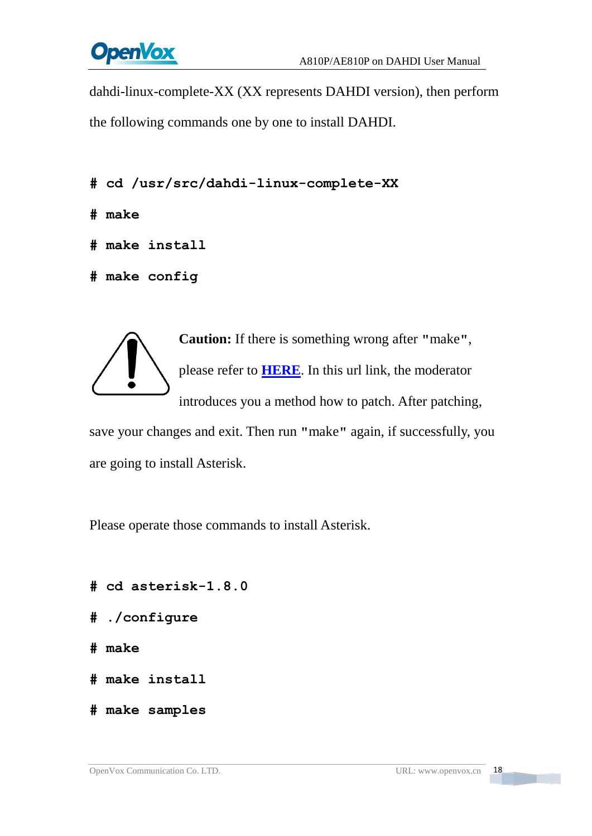

dahdi-linux-complete-XX (XX represents DAHDI version), then perform the following commands one by one to install DAHDI.

- **# cd /usr/src/dahdi-linux-complete-XX**
- **# make**
- **# make install**
- **# make config**



**Caution:** If there is something wrong after **"**make**"**, please refer to **[HERE](http://bbs.openvox.cn/viewthread.php?tid=1557&extra=page%3D1)**. In this url link, the moderator introduces you a method how to patch. After patching,

save your changes and exit. Then run **"**make**"** again, if successfully, you are going to install Asterisk.

Please operate those commands to install Asterisk.

- **# cd asterisk-1.8.0**
- **# ./configure**
- **# make**
- **# make install**
- **# make samples**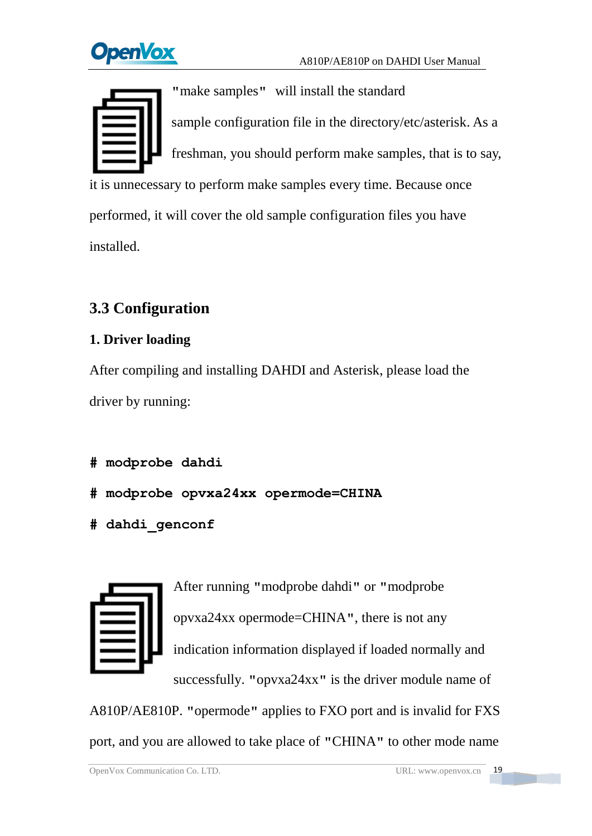**DpenVox** 



**"**make samples**"** will install the standard sample [configuration](http://www.voip-info.org/wiki/view/Asterisk+config+files) file in the directory/etc/asterisk. As a freshman, you should perform make samples, that is to say, it is unnecessary to perform make samples every time. Because once performed, it will cover the old sample configuration files you have installed.

## <span id="page-19-0"></span>**3.3 Configuration**

### **1. Driver loading**

After compiling and installing DAHDI and Asterisk, please load the driver by running:

```
# modprobe dahdi
```
- **# modprobe opvxa24xx opermode=CHINA**
- **# dahdi\_genconf**



After running **"**modprobe dahdi**"** or **"**modprobe opvxa24xx opermode=CHINA**"**, there is not any indication information displayed if loaded normally and successfully. **"**opvxa24xx**"** is the driver module name of

A810P/AE810P. **"**opermode**"** applies to FXO port and is invalid for FXS port, and you are allowed to take place of **"**CHINA**"** to other mode name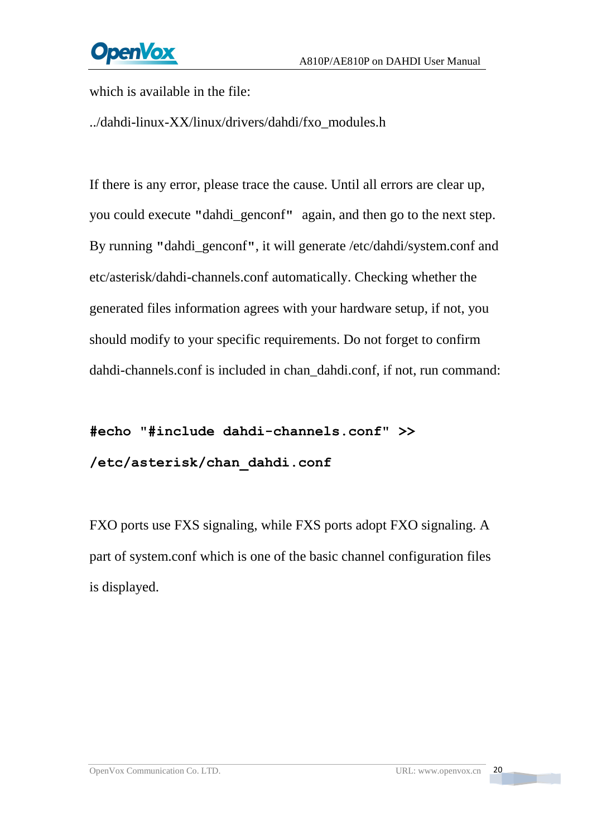**OpenVox** 

which is available in the file:

../dahdi-linux-XX/linux/drivers/dahdi/fxo\_modules.h

If there is any error, please trace the cause. Until all errors are clear up, you could execute **"**dahdi\_genconf**"** again, and then go to the next step. By running **"**dahdi\_genconf**"**, it will generate /etc/dahdi/system.conf and etc/asterisk/dahdi-channels.conf automatically. Checking whether the generated files information agrees with your hardware setup, if not, you should modify to your specific requirements. Do not forget to confirm dahdi-channels.conf is included in chan\_dahdi.conf, if not, run command:

**#echo "#include dahdi-channels.conf" >> /etc/asterisk/chan\_dahdi.conf**

FXO ports use FXS signaling, while FXS ports adopt FXO signaling. A part of system.conf which is one of the basic channel configuration files is displayed.

**The Company**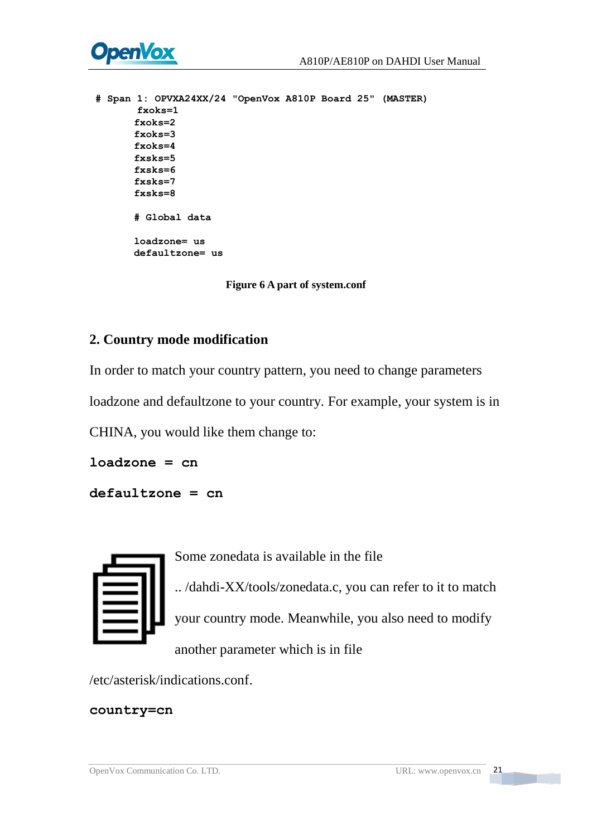



```
A span is operator. Power<br>
\frac{1}{2} frockers<br>
\frac{1}{2} frockers<br>
\frac{1}{2}<br>
\frac{1}{2}<br>
\frac{1}{2}<br>
\frac{1}{2}<br>
\frac{1}{2}<br>
\frac{1}{2}<br>
\frac{1}{2}<br>
\frac{1}{2}<br>
\frac{1}{2}<br>
\frac{1}{2}<br>
\frac{1}{2}<br>
\frac{1}{2}<br>
\frac{1}{2}<br>
\frac{1}{2}<br>
```
**Figure 6 A part of system.conf**

### **2. Country mode modification**

In order to match your country pattern, you need to change parameters

loadzone and defaultzone to your country. For example, your system is in

CHINA, you would like them change to:

**loadzone = cn**

**defaultzone = cn**



Some zonedata is available in the file

.. /dahdi-XX/tools/zonedata.c, you can refer to it to match your country mode. Meanwhile, you also need to modify another parameter which is in file

/etc/asterisk/indications.conf.

### **country=cn**

**The Contract**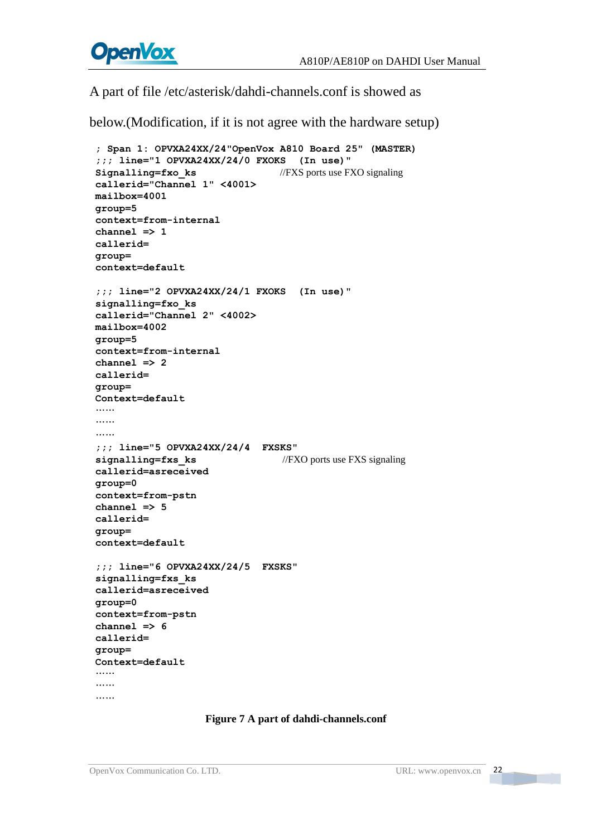

A part of file /etc/asterisk/dahdi-channels.conf is showed as

below.(Modification, if it is not agree with the hardware setup)

```
; Span 1: OPVXA24XX/24"OpenVox A810 Board 25" (MASTER) ;;; line="1 OPVXA24XX/24/0 FXOKS (In use)" Signalling=fxo ks //FXS ports use FXO signaling
callerid="Channel 1" <4001> mailbox=4001 group=5 context=from-internal channel => 1 callerid= group= context=default ;;; line="2 OPVXA24XX/24/1 FXOKS (In use)" signalling=fxo_ks callerid="Channel 2" <4002> mailbox=4002 group=5 context=from-internal channel => 2 callerid= group= Context=default ………………;;; line="5 OPVXA24XX/24/4 FXSKS" signalling=fxs ks //FXO ports use FXS signaling
callerid=asreceived group=0 context=from-pstn channel => 5 callerid= group= context=default ;;; line="6 OPVXA24XX/24/5 FXSKS" signalling=fxs_ks callerid=asreceived group=0 context=from-pstn channel => 6 callerid= group= Context=default ………………
```
#### **Figure 7 A part of dahdi-channels.conf**

**The Company**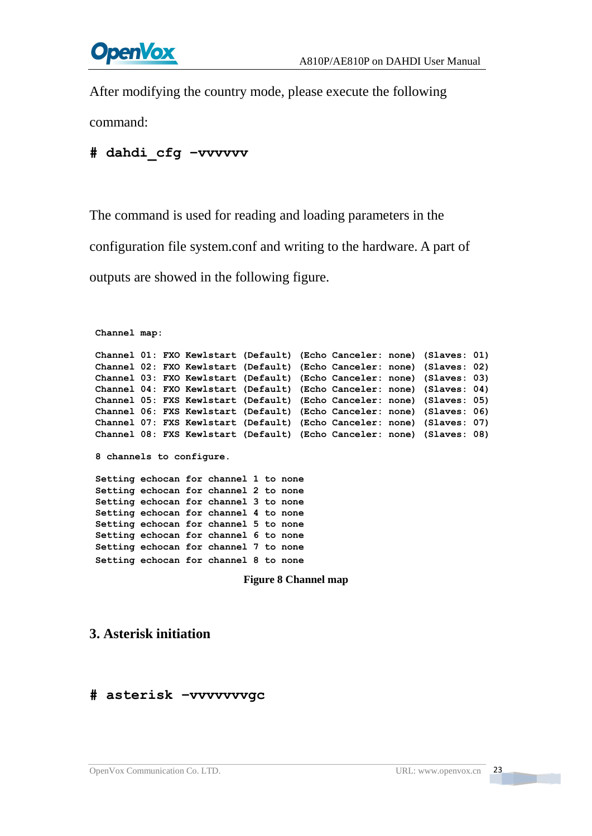# **OpenVox**

After modifying the country mode, please execute the following

command:

### **# dahdi\_cfg –vvvvvv**

The command is used for reading and loading parameters in the

configuration file system.conf and writing to the hardware. A part of

outputs are showed in the following figure.

```
Channel map: Channel 01: FXO Kewlstart (Default) (Echo Canceler: none) (Slaves: 01) Channel 02: FXO Kewlstart (Default) (Echo Canceler: none) (Slaves: 02) Channel 03: FXO Kewlstart (Default) (Echo Canceler: none) (Slaves: 03) Channel 04: FXO Kewlstart (Default) (Echo Canceler: none) (Slaves: 04) Channel 05: FXS Kewlstart (Default) (Echo Canceler: none) (Slaves: 05) Channel 06: FXS Kewlstart (Default) (Echo Canceler: none) (Slaves: 06) Channel 07: FXS Kewlstart (Default) (Echo Canceler: none) (Slaves: 07) Channel 08: FXS Kewlstart (Default) (Echo Canceler: none) (Slaves: 08) 8 channels to configure. Setting echocan for channel 1 to none Setting echocan for channel 2 to none Setting echocan for channel 3 to none Setting echocan for channel 4 to none Setting echocan for channel 5 to none Setting echocan for channel 6 to none Setting echocan for channel 7 to none Setting echocan for channel 8 to none
```
**Figure 8 Channel map**

### **3. Asterisk initiation**

### **# asterisk –vvvvvvvgc**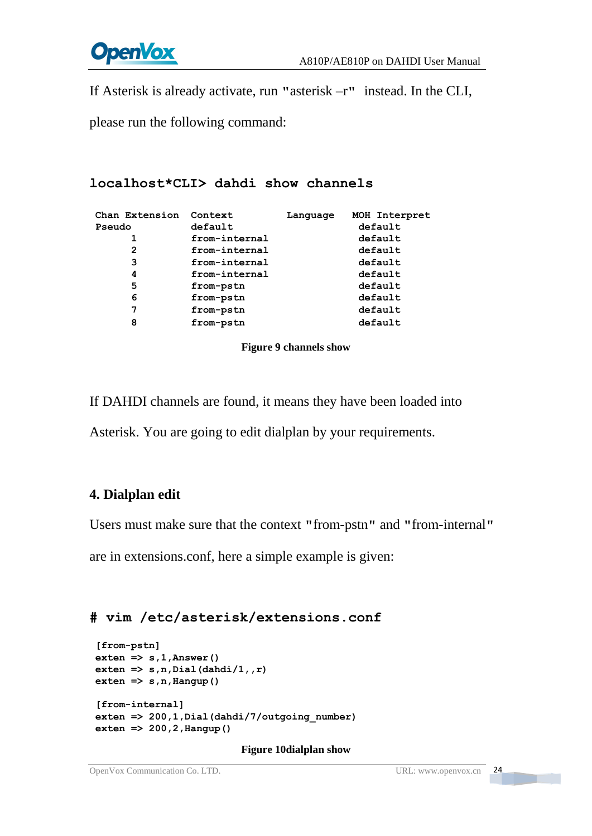

If Asterisk is already activate, run **"**asterisk –r**"** instead. In the CLI,

please run the following command:

```
localhost*CLI> dahdi show channels
```

| Chan Extension<br>Pseudo | Context<br>default | Language | MOH Interpret<br>default |
|--------------------------|--------------------|----------|--------------------------|
| 1                        | from-internal      |          | default                  |
| 2                        | from-internal      |          | default                  |
| 3                        | from-internal      |          | default                  |
| 4                        | from-internal      |          | default                  |
| 5                        | from-pstn          |          | default                  |
| 6                        | from-pstn          |          | default                  |
| 7                        | from-pstn          |          | default                  |
| 8                        | from-pstn          |          | default                  |
|                          |                    |          |                          |

#### **Figure 9 channels show**

If DAHDI channels are found, it means they have been loaded into

Asterisk. You are going to edit dialplan by your requirements.

### **4. Dialplan edit**

Users must make sure that the context **"**from-pstn**"** and **"**from-internal**"**

are in extensions.conf, here a simple example is given:

### **# vim /etc/asterisk/extensions.conf**

```
[from-pstn] exten => s,1,Answer() exten => s,n,Dial(dahdi/1,,r) ext{en} \Rightarrow s, n, \text{Hangup}()[from-internal] exten => 200,1,Dial(dahdi/7/outgoing_number) exten => 200,2,Hangup()
```
#### **Figure 10dialplan show**

# OpenVox Communication Co. LTD. URL: www.openvox.cn 24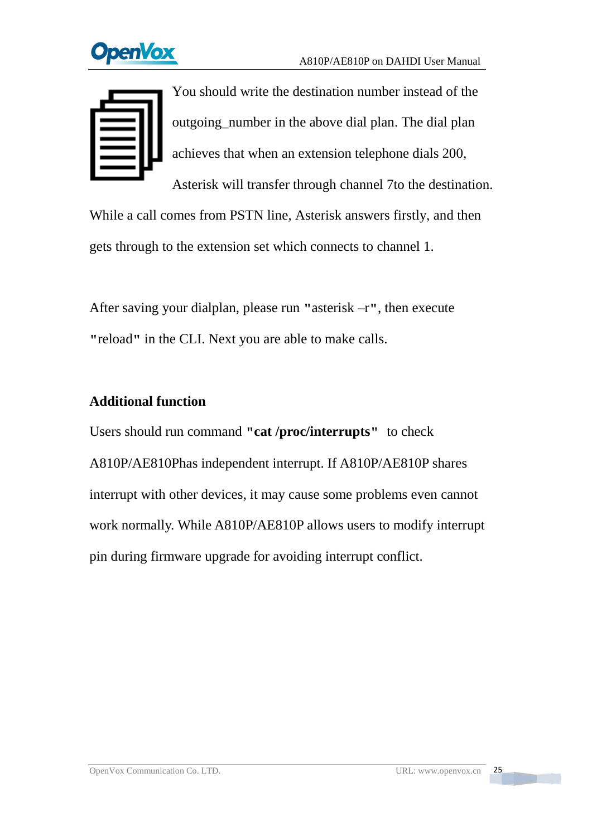

You should write the destination number instead of the outgoing\_number in the above dial plan. The dial plan achieves that when an extension telephone dials 200,

Asterisk will transfer through channel 7to the destination. While a call comes from PSTN line, Asterisk answers firstly, and then gets through to the extension set which connects to channel 1.

After saving your dialplan, please run **"**asterisk –r**"**, then execute **"**reload**"** in the CLI. Next you are able to make calls.

### **Additional function**

Users should run command **"cat /proc/interrupts"** to check A810P/AE810Phas independent interrupt. If A810P/AE810P shares interrupt with other devices, it may cause some problems even cannot work normally. While A810P/AE810P allows users to modify interrupt pin during firmware upgrade for avoiding interrupt conflict.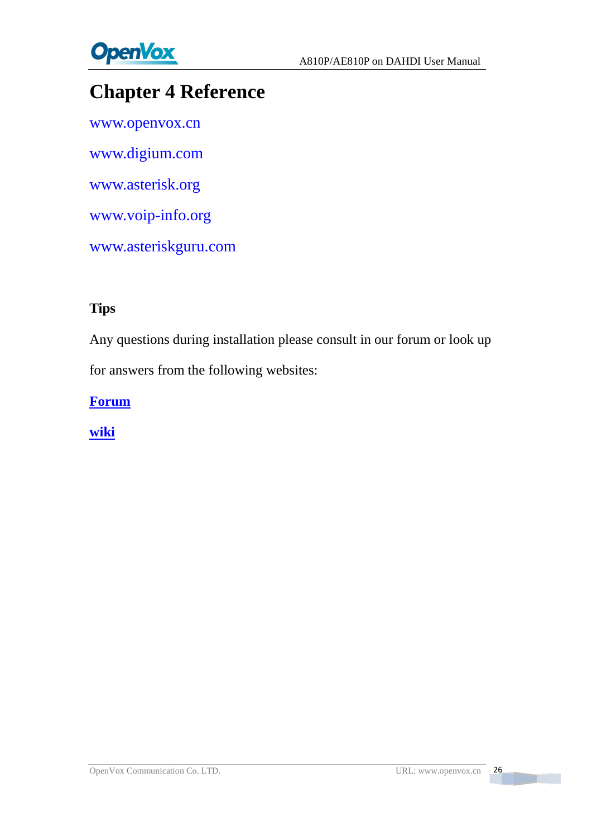

## <span id="page-26-0"></span>**Chapter 4 Reference**

[www.openvox.cn](http://www.openvox.cn/) [www.digium.com](http://www.digium.com/) [www.asterisk.org](http://www.asterisk.org/) [www.voip-info.org](http://www.voip-info.org/) [www.asteriskguru.com](http://www.asteriskguru.com/)

### **Tips**

Any questions during installation please consult in our forum or look up for answers from the following websites:

**[Forum](http://bbs.openvox.cn/)**

**[wiki](http://wiki.openvox.cn/index.php/%E9%A6%96%E9%A1%B5)**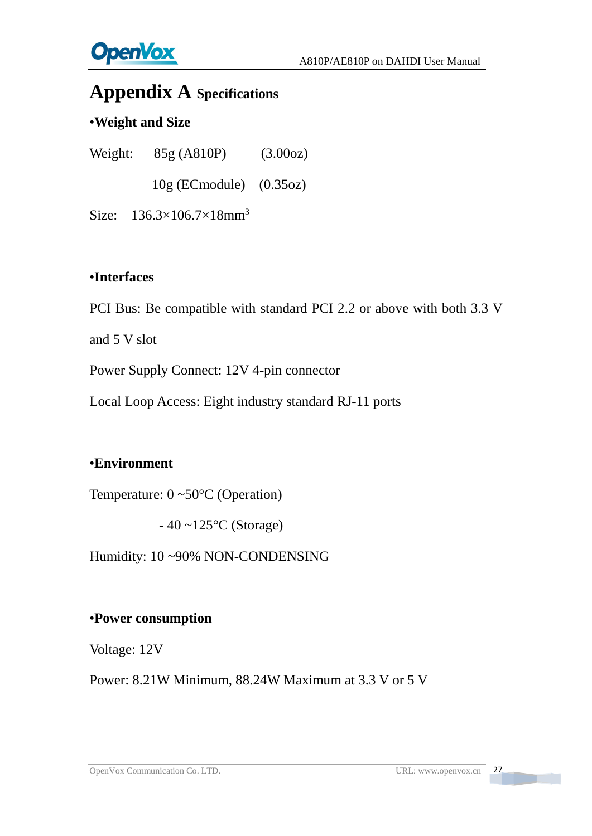

## <span id="page-27-0"></span>**Appendix A Specifications**

### •**Weight and Size**

Weight: 85g (A810P) (3.00oz) 10g (ECmodule) (0.35oz)

Size: 136.3×106.7×18mm<sup>3</sup>

### •**Interfaces**

PCI Bus: Be compatible with standard PCI 2.2 or above with both 3.3 V

and 5 V slot

Power Supply Connect: 12V 4-pin connector

Local Loop Access: Eight industry standard RJ-11 ports

### •**Environment**

Temperature: 0 ~50°C (Operation)

 $-40 \sim 125$ °C (Storage)

Humidity: 10 ~90% NON-CONDENSING

### •**Power consumption**

Voltage: 12V

Power: 8.21W Minimum, 88.24W Maximum at 3.3 V or 5 V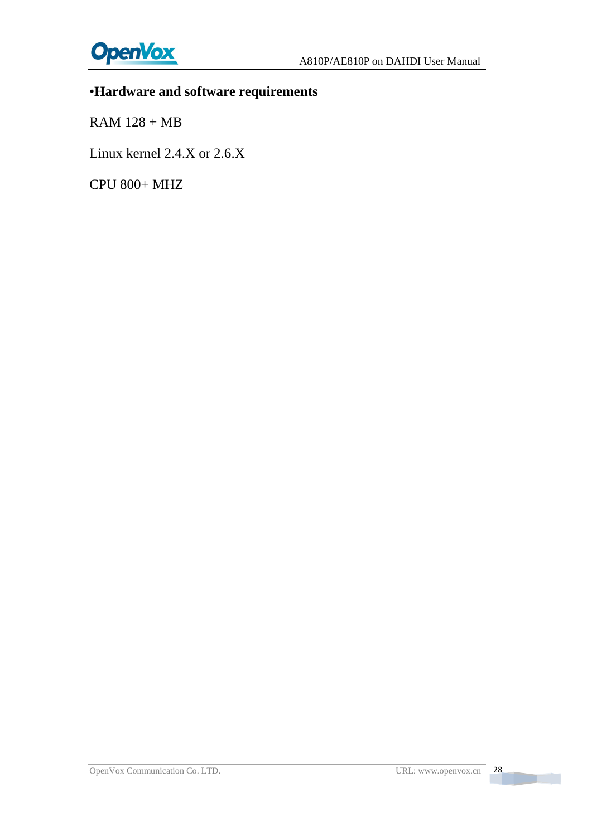## •**Hardware and software requirements**

RAM 128 + MB

Linux kernel 2.4.X or 2.6.X

CPU 800+ MHZ